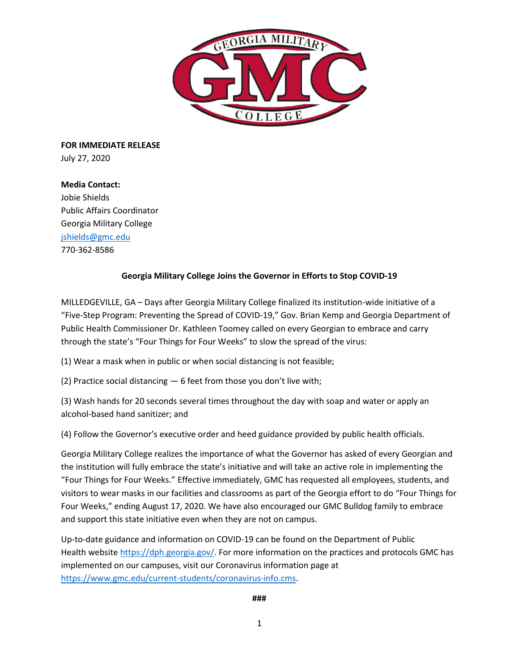

**FOR IMMEDIATE RELEASE**  July 27, 2020

## **Media Contact:**

Jobie Shields Public Affairs Coordinator Georgia Military College [jshields@gmc.edu](mailto:jshields@gmc.edu)  770-362-8586

## **Georgia Military College Joins the Governor in Efforts to Stop COVID-19**

MILLEDGEVILLE, GA – Days after Georgia Military College finalized its institution-wide initiative of a "Five-Step Program: Preventing the Spread of COVID-19," Gov. Brian Kemp and Georgia Department of Public Health Commissioner Dr. Kathleen Toomey called on every Georgian to embrace and carry through the state's "Four Things for Four Weeks" to slow the spread of the virus:

(1) Wear a mask when in public or when social distancing is not feasible;

(2) Practice social distancing — 6 feet from those you don't live with;

(3) Wash hands for 20 seconds several times throughout the day with soap and water or apply an alcohol-based hand sanitizer; and

(4) Follow the Governor's executive order and heed guidance provided by public health officials.

Georgia Military College realizes the importance of what the Governor has asked of every Georgian and the institution will fully embrace the state's initiative and will take an active role in implementing the "Four Things for Four Weeks." Effective immediately, GMC has requested all employees, students, and visitors to wear masks in our facilities and classrooms as part of the Georgia effort to do "Four Things for Four Weeks," ending August 17, 2020. We have also encouraged our GMC Bulldog family to embrace and support this state initiative even when they are not on campus.

Up-to-date guidance and information on COVID-19 can be found on the Department of Public Health [website](https://gcc01.safelinks.protection.outlook.com/?url=https%3A%2F%2Fsable.madmimi.com%2Fc%2F226400%3Fid%3D1028236.10799.1.f3a2d3bbe0816d5f78828033223602b1&data=02%7C01%7Ckarlie.hanson%40georgia.gov%7C3d68ecfc48054a3731b908d82d828b7d%7C512da10d071b4b948abc9ec4044d1516%7C0%7C0%7C637309386013737006&sdata=2D0o2v%2BrbHxcbsU4HHrJh2qxwDKi4S4st0tuv9QVL3M%3D&reserved=0) [https://dph.georgia.gov/.](https://dph.georgia.gov/) For more information on the practices and protocols GMC has implemented on our campuses, visit our Coronavirus information page at [https://www.gmc.edu/current-students/coronavirus-info.cms.](https://www.gmc.edu/current-students/coronavirus-info.cms)

**###**